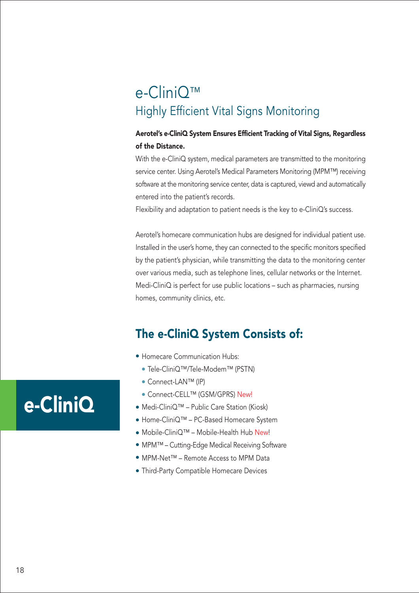### e-CliniQ™ Highly Efficient Vital Signs Monitoring

#### Aerotel's e-CliniQ System Ensures Efficient Tracking of Vital Signs, Regardless of the Distance.

With the e-CliniQ system, medical parameters are transmitted to the monitoring service center. Using Aerotel's Medical Parameters Monitoring (MPM™) receiving software at the monitoring service center, data is captured, viewd and automatically entered into the patient's records.

Flexibility and adaptation to patient needs is the key to e-CliniQ's success.

Aerotel's homecare communication hubs are designed for individual patient use. Installed in the user's home, they can connected to the specific monitors specified by the patient's physician, while transmitting the data to the monitoring center over various media, such as telephone lines, cellular networks or the Internet. Medi-CliniQ is perfect for use public locations – such as pharmacies, nursing homes, community clinics, etc.

### The e-CliniQ System Consists of:

- Homecare Communication Hubs:
	- Tele-CliniQ™/Tele-Modem™ (PSTN)
	- Connect-LAN™ (IP)
- Connect-CELL™ (GSM/GPRS) New!
- Medi-CliniQ™ Public Care Station (Kiosk)
- Home-CliniQ™ PC-Based Homecare System
- Mobile-CliniQ™ Mobile-Health Hub New!
- MPM™ Cutting-Edge Medical Receiving Software
- MPM-Net™ Remote Access to MPM Data
- Third-Party Compatible Homecare Devices

# e-CliniQ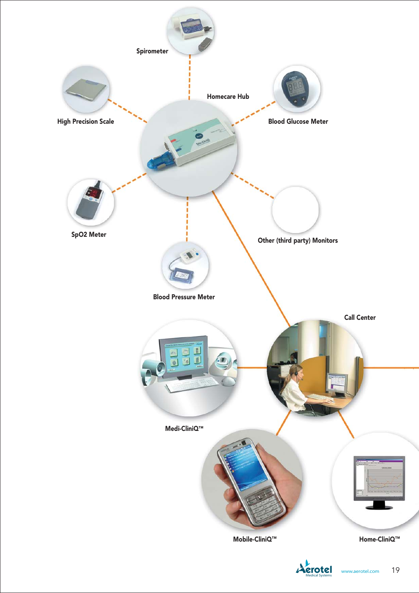



Medical Systems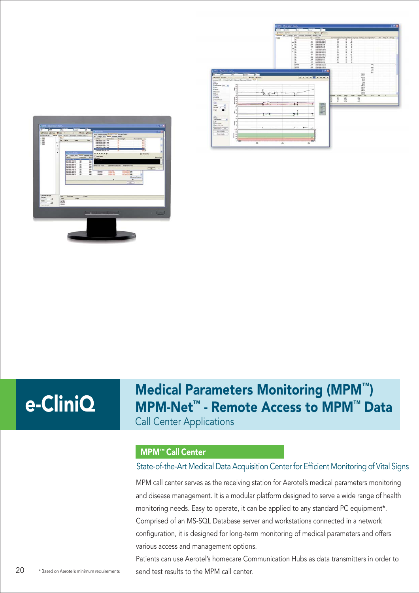



Medical Parameters Monitoring (MPM™) MPM-Net™ - Remote Access to MPM™ Data Call Center Applications

#### MPM™ Call Center

#### State-of-the-Art Medical Data Acquisition Center for Efficient Monitoring of Vital Signs

MPM call center serves as the receiving station for Aerotel's medical parameters monitoring and disease management. It is a modular platform designed to serve a wide range of health monitoring needs. Easy to operate, it can be applied to any standard PC equipment\*. Comprised of an MS-SQL Database server and workstations connected in a network configuration, it is designed for long-term monitoring of medical parameters and offers various access and management options.

Patients can use Aerotel's homecare Communication Hubs as data transmitters in order to \*Based on Aerotel's minimum requirements send test results to the MPM call center.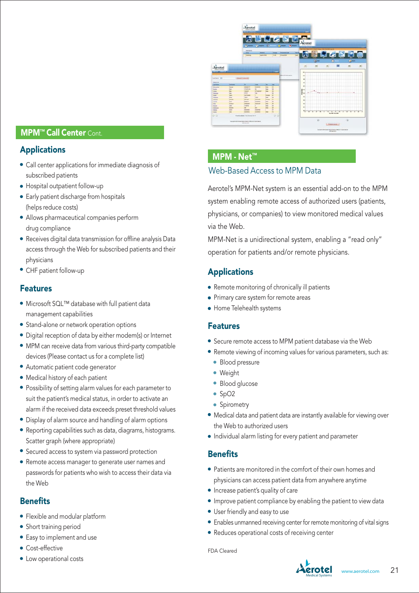#### **MPM™ Call Center Cont.**

#### Applications

- Call center applications for immediate diagnosis of subscribed patients
- Hospital outpatient follow-up
- Early patient discharge from hospitals (helps reduce costs)
- Allows pharmaceutical companies perform drug compliance
- Receives digital data transmission for offline analysis Data access through the Web for subscribed patients and their physicians
- CHF patient follow-up

#### Features

- Microsoft SQL™ database with full patient data management capabilities
- **Stand-alone or network operation options**
- Digital reception of data by either modem(s) or Internet
- MPM can receive data from various third-party compatible devices (Please contact us for a complete list)
- Automatic patient code generator
- Medical history of each patient
- Possibility of setting alarm values for each parameter to suit the patient's medical status, in order to activate an alarm if the received data exceeds preset threshold values
- Display of alarm source and handling of alarm options
- Reporting capabilities such as data, diagrams, histograms. Scatter graph (where appropriate)
- Secured access to system via password protection
- Remote access manager to generate user names and passwords for patients who wish to access their data via the Web

#### **Benefits**

- Flexible and modular platform
- Short training period
- Easy to implement and use
- **Cost-effective**
- Low operational costs



#### MPM - Net™

#### Web-Based Access to MPM Data

Aerotel's MPM-Net system is an essential add-on to the MPM system enabling remote access of authorized users (patients, physicians, or companies) to view monitored medical values via the Web.

MPM-Net is a unidirectional system, enabling a "read only" operation for patients and/or remote physicians.

#### **Applications**

- Remote monitoring of chronically ill patients
- Primary care system for remote areas
- Home Telehealth systems

#### Features

- Secure remote access to MPM patient database via the Web
- Remote viewing of incoming values for various parameters, such as:
	- **Blood pressure**
	- Weight
	- Blood glucose
	- $\bullet$  SpO2
	- Spirometry
- Medical data and patient data are instantly available for viewing over the Web to authorized users
- Individual alarm listing for every patient and parameter

#### **Benefits**

- Patients are monitored in the comfort of their own homes and physicians can access patient data from anywhere anytime
- **•** Increase patient's quality of care
- Improve patient compliance by enabling the patient to view data
- User friendly and easy to use
- Enables unmanned receiving center for remote monitoring of vital signs
- Reduces operational costs of receiving center

FDA Cleared

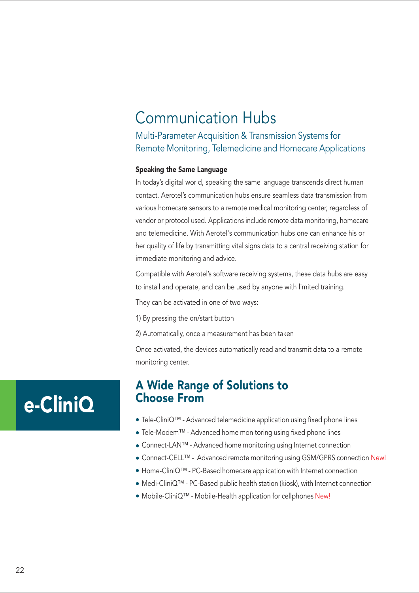### Communication Hubs

Multi-Parameter Acquisition & Transmission Systems for Remote Monitoring, Telemedicine and Homecare Applications

#### Speaking the Same Language

In today's digital world, speaking the same language transcends direct human contact. Aerotel's communication hubs ensure seamless data transmission from various homecare sensors to a remote medical monitoring center, regardless of vendor or protocol used. Applications include remote data monitoring, homecare and telemedicine. With Aerotel's communication hubs one can enhance his or her quality of life by transmitting vital signs data to a central receiving station for immediate monitoring and advice.

Compatible with Aerotel's software receiving systems, these data hubs are easy to install and operate, and can be used by anyone with limited training.

They can be activated in one of two ways:

- 1) By pressing the on/start button
- 2) Automatically, once a measurement has been taken

Once activated, the devices automatically read and transmit data to a remote monitoring center.

### A Wide Range of Solutions to Choose From

- Tele-CliniQ™ Advanced telemedicine application using fixed phone lines
- Tele-Modem™ Advanced home monitoring using fixed phone lines
- Connect-LAN™ Advanced home monitoring using Internet connection
- Connect-CELL™ Advanced remote monitoring using GSM/GPRS connection New!
- Home-CliniQ™ PC-Based homecare application with Internet connection
- Medi-CliniQ™ PC-Based public health station (kiosk), with Internet connection
- Mobile-CliniQ™ Mobile-Health application for cellphones New!

# e-CliniQ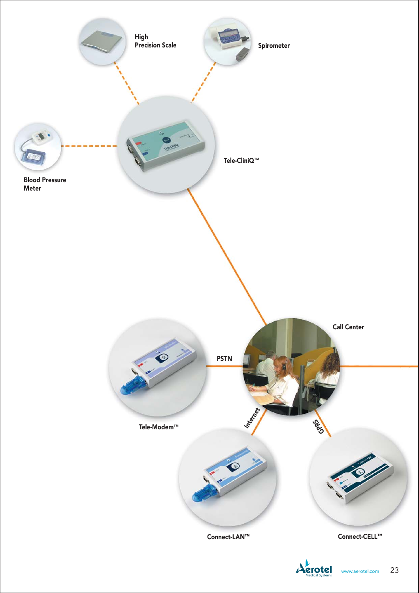

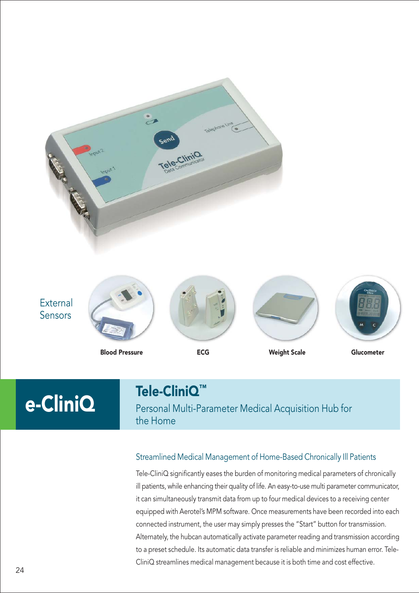

Blood Pressure ECG Weight Scale Glucometer

### Tele-CliniQ™

Personal Multi-Parameter Medical Acquisition Hub for the Home

#### Streamlined Medical Management of Home-Based Chronically Ill Patients

Tele-CliniQ significantly eases the burden of monitoring medical parameters of chronically ill patients, while enhancing their quality of life. An easy-to-use multi parameter communicator, it can simultaneously transmit data from up to four medical devices to a receiving center equipped with Aerotel's MPM software. Once measurements have been recorded into each connected instrument, the user may simply presses the "Start" button for transmission. Alternately, the hubcan automatically activate parameter reading and transmission according to a preset schedule. Its automatic data transfer is reliable and minimizes human error. Tele-CliniQ streamlines medical management because it is both time and cost effective.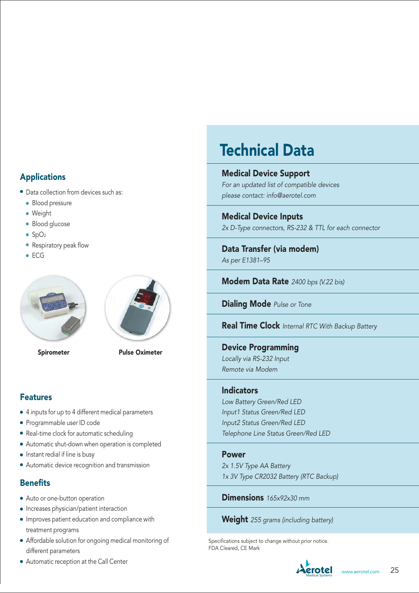#### Applications

- Data collection from devices such as:
	- **Blood pressure**
	- Weight
	- Blood glucose
	- $\bullet$  SpO<sub>2</sub>
	- Respiratory peak flow
	- ECG





Spirometer Pulse Oximeter

#### Features

- 4 inputs for up to 4 different medical parameters
- Programmable user ID code
- Real-time clock for automatic scheduling
- Automatic shut-down when operation is completed
- $\bullet$  Instant redial if line is busy
- Automatic device recognition and transmission

#### **Benefits**

- Auto or one-button operation
- Increases physician/patient interaction
- Improves patient education and compliance with treatment programs
- Affordable solution for ongoing medical monitoring of different parameters
- Automatic reception at the Call Center **Advertised Automatic reception at the Call Center**

# Technical Data

Medical Device Support For an updated list of compatible devices

please contact: info@aerotel.com

Medical Device Inputs 2x D-Type connectors, RS-232 & TTL for each connector

Data Transfer (via modem) As per E1381–95

Modem Data Rate 2400 bps (V.22 bis)

Dialing Mode Pulse or Tone

**Real Time Clock** Internal RTC With Backup Battery

Device Programming Locally via RS-232 Input Remote via Modem

#### Indicators

Low Battery Green/Red LED Input1 Status Green/Red LED Input2 Status Green/Red LED Telephone Line Status Green/Red LED

#### Power

2x 1.5V Type AA Battery 1x 3V Type CR2032 Battery (RTC Backup)

Dimensions 165x92x30 mm

**Weight** 255 grams (including battery)

Specifications subject to change without prior notice. FDA Cleared, CE Mark

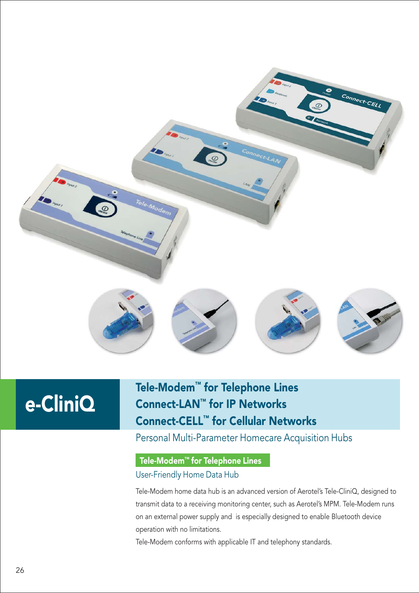

### Tele-Modem™ for Telephone Lines Connect-LAN™ for IP Networks Connect-CELL™ for Cellular Networks

### Personal Multi-Parameter Homecare Acquisition Hubs

#### Tele-Modem™ for Telephone Lines

#### User-Friendly Home Data Hub

Tele-Modem home data hub is an advanced version of Aerotel's Tele-CliniQ, designed to transmit data to a receiving monitoring center, such as Aerotel's MPM. Tele-Modem runs on an external power supply and is especially designed to enable Bluetooth device operation with no limitations.

Tele-Modem conforms with applicable IT and telephony standards.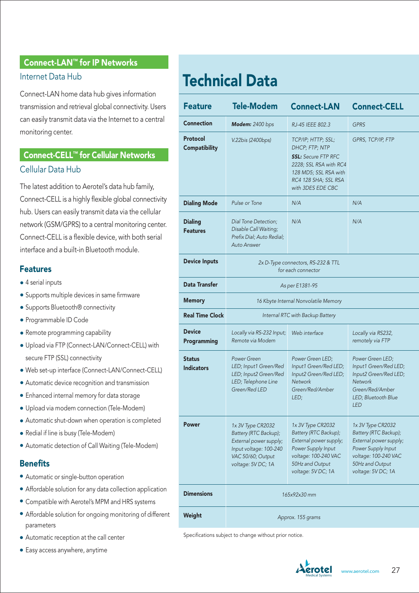#### Connect-LAN™ for IP Networks

#### Internet Data Hub

Connect-LAN home data hub gives information transmission and retrieval global connectivity. Users can easily transmit data via the Internet to a central monitoring center.

### Connect-CELL™ for Cellular Networks Cellular Data Hub

The latest addition to Aerotel's data hub family, Connect-CELL is a highly flexible global connectivity hub. Users can easily transmit data via the cellular network (GSM/GPRS) to a central monitoring center. Connect-CELL is a flexible device, with both serial interface and a built-in Bluetooth module.

#### Features

- 4 serial inputs
- Supports multiple devices in same firmware
- Supports Bluetooth<sup>®</sup> connectivity
- Programmable ID Code
- Remote programming capability
- Upload via FTP (Connect-LAN/Connect-CELL) with secure FTP (SSL) connectivity
- Web set-up interface (Connect-LAN/Connect-CELL)
- Automatic device recognition and transmission
- Enhanced internal memory for data storage
- Upload via modem connection (Tele-Modem)
- Automatic shut-down when operation is completed
- Redial if line is busy (Tele-Modem)
- Automatic detection of Call Waiting (Tele-Modem)

#### **Benefits**

- Automatic or single-button operation
- Affordable solution for any data collection application
- Compatible with Aerotel's MPM and HRS systems
- Affordable solution for ongoing monitoring of different parameters
- Automatic reception at the call center
- Easy access anywhere, anytime

# Technical Data

| <b>Feature</b>                     | <b>Tele-Modem</b>                                                                                                                         | <b>Connect-LAN</b>                                                                                                                                                 | <b>Connect-CELL</b>                                                                                                                                         |
|------------------------------------|-------------------------------------------------------------------------------------------------------------------------------------------|--------------------------------------------------------------------------------------------------------------------------------------------------------------------|-------------------------------------------------------------------------------------------------------------------------------------------------------------|
| <b>Connection</b>                  | Modem: 2400 bps                                                                                                                           | RJ-45 IEEE 802.3                                                                                                                                                   | <b>GPRS</b>                                                                                                                                                 |
| Protocol<br><b>Compatibility</b>   | V.22bis (2400bps)                                                                                                                         | TCP/IP; HTTP; SSL;<br>DHCP; FTP; NTP<br><b>SSL: Secure FTP RFC</b><br>2228; SSL RSA with RC4<br>128 MD5; SSL RSA with<br>RC4 128 SHA: SSL RSA<br>with 3DES EDE CBC | GPRS, TCP/IP, FTP                                                                                                                                           |
| <b>Dialing Mode</b>                | Pulse or Tone                                                                                                                             | N/A                                                                                                                                                                | N/A                                                                                                                                                         |
| <b>Dialing</b><br><b>Features</b>  | Dial Tone Detection;<br>Disable Call Waiting;<br>Prefix Dial; Auto Redial;<br><b>Auto Answer</b>                                          | N/A                                                                                                                                                                | N/A                                                                                                                                                         |
| <b>Device Inputs</b>               | 2x D-Type connectors, RS-232 & TTL<br>for each connector                                                                                  |                                                                                                                                                                    |                                                                                                                                                             |
| <b>Data Transfer</b>               | As per E1381-95                                                                                                                           |                                                                                                                                                                    |                                                                                                                                                             |
| <b>Memory</b>                      | 16 Kbyte Internal Nonvolatile Memory                                                                                                      |                                                                                                                                                                    |                                                                                                                                                             |
| <b>Real Time Clock</b>             | Internal RTC with Backup Battery                                                                                                          |                                                                                                                                                                    |                                                                                                                                                             |
| <b>Device</b><br>Programming       | Locally via RS-232 Input;<br>Remote via Modem                                                                                             | Web interface                                                                                                                                                      | Locally via RS232,<br>remotely via FTP                                                                                                                      |
| <b>Status</b><br><b>Indicators</b> | Power Green<br>LED; Input1 Green/Red<br>LED; Input2 Green/Red<br>LED; Telephone Line<br>Green/Red LED                                     | Power Green LED;<br>Input1 Green/Red LED;<br>Input2 Green/Red LED;<br><b>Network</b><br>Green/Red/Amber<br>LED;                                                    | Power Green LED;<br>Input1 Green/Red LED;<br>Input2 Green/Red LED;<br>Network<br>Green/Red/Amber<br>LED; Bluetooth Blue<br><b>LED</b>                       |
| <b>Power</b>                       | 1x 3V Type CR2032<br>Battery (RTC Backup);<br>External power supply;<br>Input voltage: 100-240<br>VAC 50/60; Output<br>voltage: 5V DC; 1A | 1x 3V Type CR2032<br>Battery (RTC Backup);<br>External power supply;<br>Power Supply Input<br>voltage: 100-240 VAC<br>50Hz and Output<br>voltage: 5V DC; 1A        | 1x 3V Type CR2032<br>Battery (RTC Backup);<br>External power supply;<br>Power Supply Input<br>voltage: 100-240 VAC<br>50Hz and Output<br>voltage: 5V DC; 1A |
| <b>Dimensions</b>                  | 165x92x30 mm                                                                                                                              |                                                                                                                                                                    |                                                                                                                                                             |
| Weight                             | Approx. 155 grams                                                                                                                         |                                                                                                                                                                    |                                                                                                                                                             |

Specifications subject to change without prior notice.

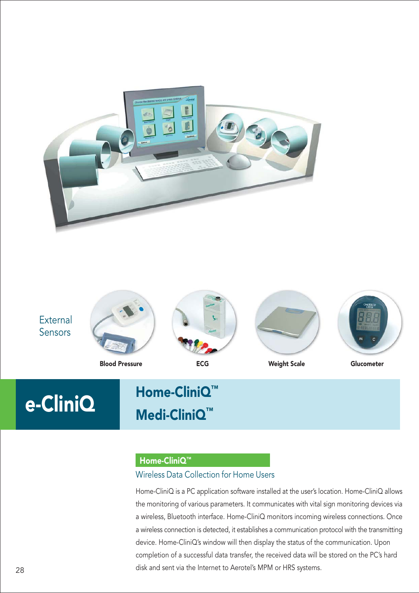



## e-CliniQ Home-CliniQ™ Medi-CliniQ™

#### Home-CliniQ™

#### Wireless Data Collection for Home Users

Home-CliniQ is a PC application software installed at the user's location. Home-CliniQ allows the monitoring of various parameters. It communicates with vital sign monitoring devices via a wireless, Bluetooth interface. Home-CliniQ monitors incoming wireless connections. Once a wireless connection is detected, it establishes a communication protocol with the transmitting device. Home-CliniQ's window will then display the status of the communication. Upon completion of a successful data transfer, the received data will be stored on the PC's hard disk and sent via the Internet to Aerotel's MPM or HRS systems.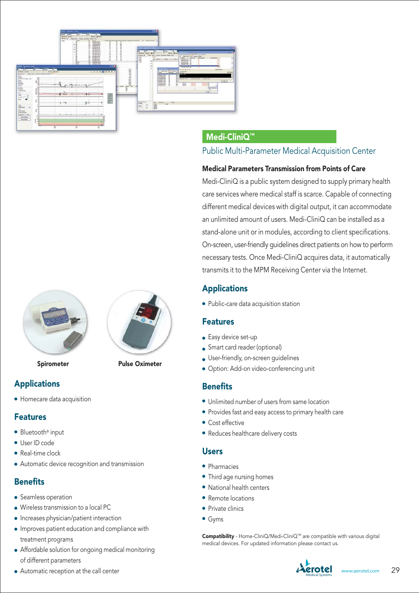



Spirometer Pulse Oximeter

#### Applications

• Homecare data acquisition

#### Features

- Bluetooth® input
- User ID code
- Real-time clock
- Automatic device recognition and transmission

#### **Benefits**

- Seamless operation
- Wireless transmission to a local PC
- Increases physician/patient interaction
- Improves patient education and compliance with treatment programs
- Affordable solution for ongoing medical monitoring of different parameters
- Automatic reception at the call center

#### Medi-CliniQ™

#### Public Multi-Parameter Medical Acquisition Center

#### Medical Parameters Transmission from Points of Care

Medi-CliniQ is a public system designed to supply primary health care services where medical staff is scarce. Capable of connecting different medical devices with digital output, it can accommodate an unlimited amount of users. Medi-CliniQ can be installed as a stand-alone unit or in modules, according to client specifications. On-screen, user-friendly guidelines direct patients on how to perform necessary tests. Once Medi-CliniQ acquires data, it automatically transmits it to the MPM Receiving Center via the Internet.

### Applications

• Public-care data acquisition station

#### Features

- Easy device set-up
- **Smart card reader (optional)**
- User-friendly, on-screen guidelines
- Option: Add-on video-conferencing unit

#### **Benefits**

- Unlimited number of users from same location
- Provides fast and easy access to primary health care
- Cost effective
- Reduces healthcare delivery costs

#### **Users**

- Pharmacies
- Third age nursing homes
- National health centers
- Remote locations
- **Private clinics**
- Gyms

Compatibility - Home-CliniQ/Medi-CliniQ™ are compatible with various digital medical devices. For updated information please contact us.

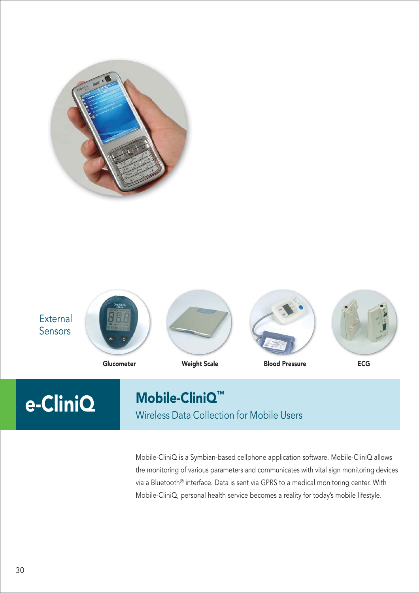



# Mobile-CliniQ™

Wireless Data Collection for Mobile Users

Mobile-CliniQ is a Symbian-based cellphone application software. Mobile-CliniQ allows the monitoring of various parameters and communicates with vital sign monitoring devices via a Bluetooth® interface. Data is sent via GPRS to a medical monitoring center. With Mobile-CliniQ, personal health service becomes a reality for today's mobile lifestyle.